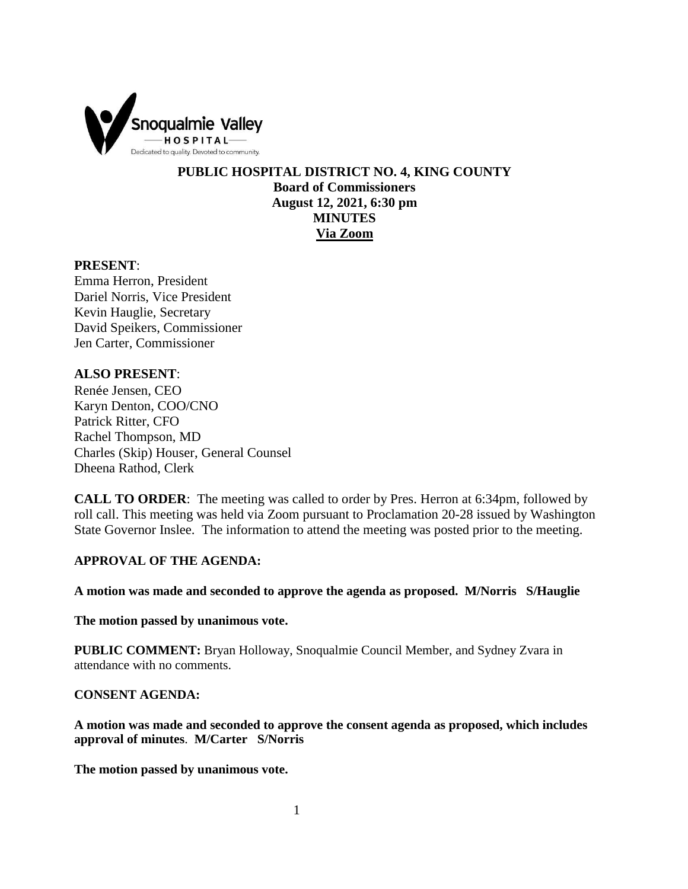

**PUBLIC HOSPITAL DISTRICT NO. 4, KING COUNTY Board of Commissioners August 12, 2021, 6:30 pm MINUTES Via Zoom**

#### **PRESENT**:

Emma Herron, President Dariel Norris, Vice President Kevin Hauglie, Secretary David Speikers, Commissioner Jen Carter, Commissioner

# **ALSO PRESENT**:

Renée Jensen, CEO Karyn Denton, COO/CNO Patrick Ritter, CFO Rachel Thompson, MD Charles (Skip) Houser, General Counsel Dheena Rathod, Clerk

**CALL TO ORDER**: The meeting was called to order by Pres. Herron at 6:34pm, followed by roll call. This meeting was held via Zoom pursuant to Proclamation 20-28 issued by Washington State Governor Inslee. The information to attend the meeting was posted prior to the meeting.

## **APPROVAL OF THE AGENDA:**

**A motion was made and seconded to approve the agenda as proposed. M/Norris S/Hauglie**

**The motion passed by unanimous vote.** 

**PUBLIC COMMENT:** Bryan Holloway, Snoqualmie Council Member, and Sydney Zvara in attendance with no comments.

## **CONSENT AGENDA:**

**A motion was made and seconded to approve the consent agenda as proposed, which includes approval of minutes**. **M/Carter S/Norris**

**The motion passed by unanimous vote.**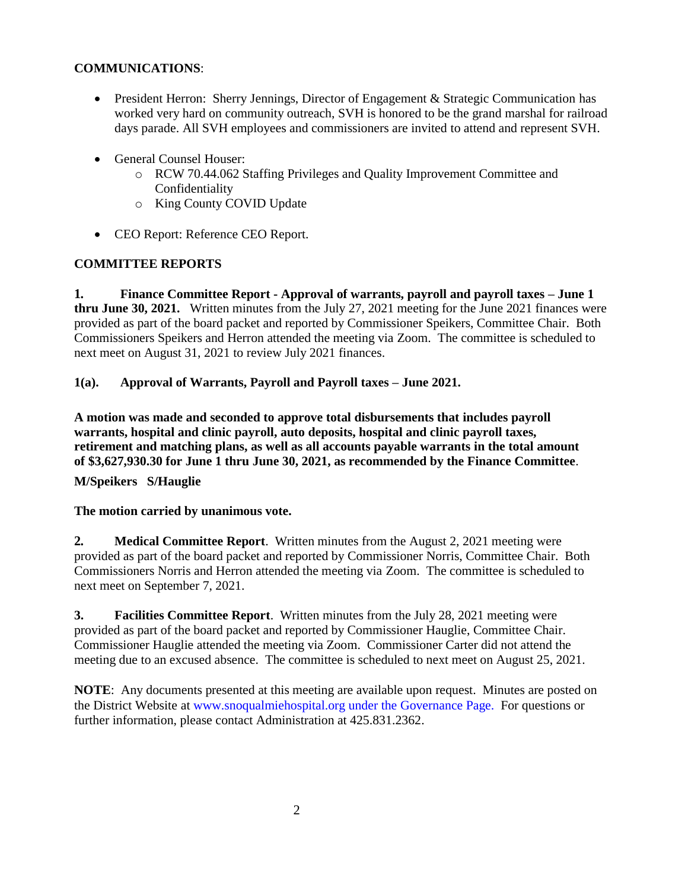# **COMMUNICATIONS**:

- President Herron: Sherry Jennings, Director of Engagement & Strategic Communication has worked very hard on community outreach, SVH is honored to be the grand marshal for railroad days parade. All SVH employees and commissioners are invited to attend and represent SVH.
- General Counsel Houser:
	- o RCW 70.44.062 Staffing Privileges and Quality Improvement Committee and Confidentiality
	- o King County COVID Update
- CEO Report: Reference CEO Report.

# **COMMITTEE REPORTS**

**1. Finance Committee Report - Approval of warrants, payroll and payroll taxes – June 1 thru June 30, 2021.** Written minutes from the July 27, 2021 meeting for the June 2021 finances were provided as part of the board packet and reported by Commissioner Speikers, Committee Chair. Both Commissioners Speikers and Herron attended the meeting via Zoom. The committee is scheduled to next meet on August 31, 2021 to review July 2021 finances.

# **1(a). Approval of Warrants, Payroll and Payroll taxes – June 2021.**

**A motion was made and seconded to approve total disbursements that includes payroll warrants, hospital and clinic payroll, auto deposits, hospital and clinic payroll taxes, retirement and matching plans, as well as all accounts payable warrants in the total amount of \$3,627,930.30 for June 1 thru June 30, 2021, as recommended by the Finance Committee**.

**M/Speikers S/Hauglie**

**The motion carried by unanimous vote.**

**2. Medical Committee Report**. Written minutes from the August 2, 2021 meeting were provided as part of the board packet and reported by Commissioner Norris, Committee Chair. Both Commissioners Norris and Herron attended the meeting via Zoom. The committee is scheduled to next meet on September 7, 2021.

**3. Facilities Committee Report**. Written minutes from the July 28, 2021 meeting were provided as part of the board packet and reported by Commissioner Hauglie, Committee Chair. Commissioner Hauglie attended the meeting via Zoom. Commissioner Carter did not attend the meeting due to an excused absence. The committee is scheduled to next meet on August 25, 2021.

**NOTE**: Any documents presented at this meeting are available upon request. Minutes are posted on the District Website at www.snoqualmiehospital.org under the Governance Page. For questions or further information, please contact Administration at 425.831.2362.